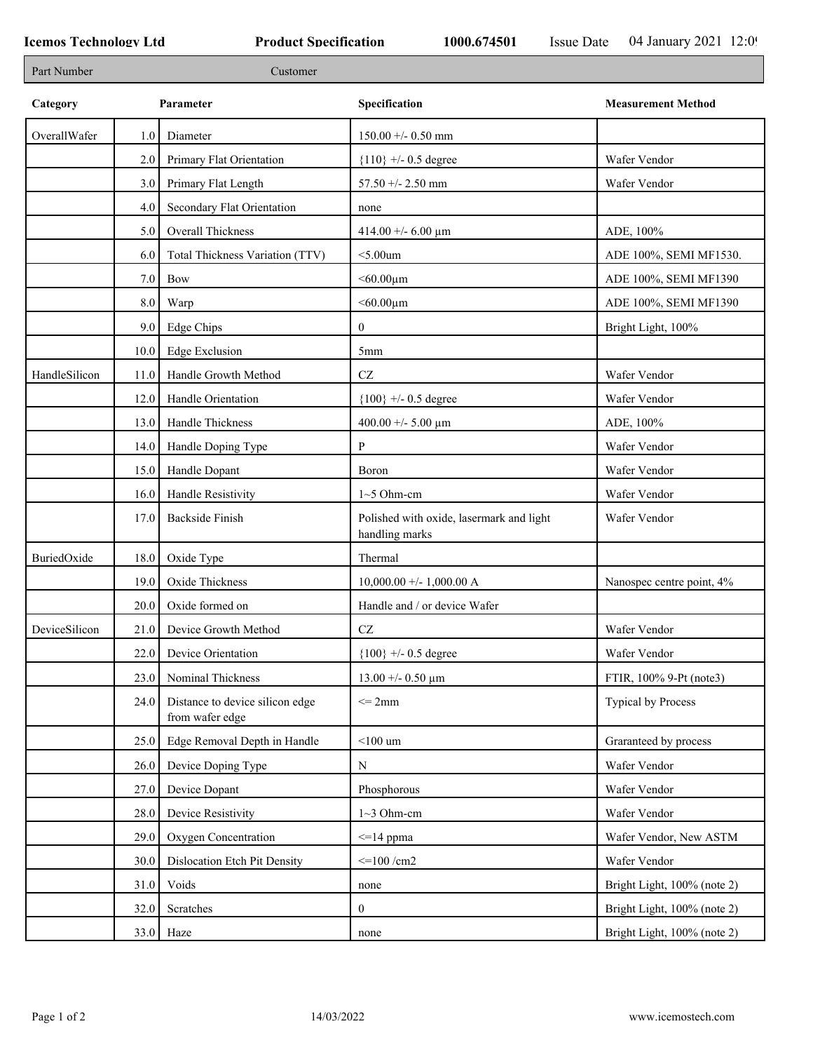| Part Number   |      | Customer                                           |                                                            |                             |
|---------------|------|----------------------------------------------------|------------------------------------------------------------|-----------------------------|
| Category      |      | Parameter                                          | Specification                                              | <b>Measurement Method</b>   |
| OverallWafer  | 1.0  | Diameter                                           | $150.00 +/- 0.50$ mm                                       |                             |
|               | 2.0  | Primary Flat Orientation                           | ${110}$ +/- 0.5 degree                                     | Wafer Vendor                |
|               | 3.0  | Primary Flat Length                                | $57.50 + - 2.50$ mm                                        | Wafer Vendor                |
|               | 4.0  | Secondary Flat Orientation                         | none                                                       |                             |
|               | 5.0  | <b>Overall Thickness</b>                           | 414.00 +/- 6.00 $\mu$ m                                    | ADE, 100%                   |
|               | 6.0  | Total Thickness Variation (TTV)                    | $<$ 5.00 $um$                                              | ADE 100%, SEMI MF1530.      |
|               | 7.0  | Bow                                                | $< 60.00 \mu m$                                            | ADE 100%, SEMI MF1390       |
|               | 8.0  | Warp                                               | $<$ 60.00 $\mu$ m                                          | ADE 100%, SEMI MF1390       |
|               | 9.0  | Edge Chips                                         | $\mathbf{0}$                                               | Bright Light, 100%          |
|               | 10.0 | <b>Edge Exclusion</b>                              | 5mm                                                        |                             |
| HandleSilicon | 11.0 | Handle Growth Method                               | $\operatorname{CZ}$                                        | Wafer Vendor                |
|               | 12.0 | Handle Orientation                                 | ${100}$ +/- 0.5 degree                                     | Wafer Vendor                |
|               | 13.0 | Handle Thickness                                   | 400.00 +/- 5.00 $\mu$ m                                    | ADE, 100%                   |
|               | 14.0 | Handle Doping Type                                 | P                                                          | Wafer Vendor                |
|               | 15.0 | Handle Dopant                                      | Boron                                                      | Wafer Vendor                |
|               | 16.0 | Handle Resistivity                                 | $1~5$ Ohm-cm                                               | Wafer Vendor                |
|               | 17.0 | <b>Backside Finish</b>                             | Polished with oxide, lasermark and light<br>handling marks | Wafer Vendor                |
| BuriedOxide   | 18.0 | Oxide Type                                         | Thermal                                                    |                             |
|               | 19.0 | Oxide Thickness                                    | $10,000.00 +/- 1,000.00 A$                                 | Nanospec centre point, 4%   |
|               | 20.0 | Oxide formed on                                    | Handle and / or device Wafer                               |                             |
| DeviceSilicon | 21.0 | Device Growth Method                               | $\operatorname{CZ}$                                        | Wafer Vendor                |
|               | 22.0 | Device Orientation                                 | ${100}$ +/- 0.5 degree                                     | Wafer Vendor                |
|               | 23.0 | Nominal Thickness                                  | $13.00 + - 0.50 \mu m$                                     | FTIR, 100% 9-Pt (note3)     |
|               | 24.0 | Distance to device silicon edge<br>from wafer edge | $\leq$ 2mm                                                 | <b>Typical by Process</b>   |
|               | 25.0 | Edge Removal Depth in Handle                       | $<$ 100 $\,$ um                                            | Graranteed by process       |
|               | 26.0 | Device Doping Type                                 | ${\bf N}$                                                  | Wafer Vendor                |
|               | 27.0 | Device Dopant                                      | Phosphorous                                                | Wafer Vendor                |
|               | 28.0 | Device Resistivity                                 | $1~3$ Ohm-cm                                               | Wafer Vendor                |
|               | 29.0 | Oxygen Concentration                               | $\leq$ 14 ppma                                             | Wafer Vendor, New ASTM      |
|               | 30.0 | Dislocation Etch Pit Density                       | $\leq$ 100 /cm2                                            | Wafer Vendor                |
|               | 31.0 | Voids                                              | none                                                       | Bright Light, 100% (note 2) |
|               | 32.0 | Scratches                                          | $\mathbf{0}$                                               | Bright Light, 100% (note 2) |
|               | 33.0 | Haze                                               | none                                                       | Bright Light, 100% (note 2) |
|               |      |                                                    |                                                            |                             |